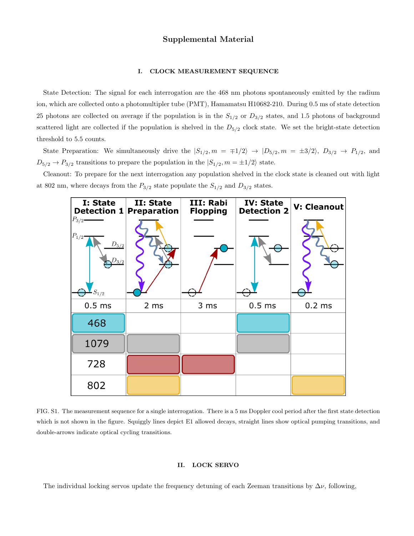# Supplemental Material

## I. CLOCK MEASUREMENT SEQUENCE

State Detection: The signal for each interrogation are the 468 nm photons spontaneously emitted by the radium ion, which are collected onto a photomultipler tube (PMT), Hamamatsu H10682-210. During 0.5 ms of state detection 25 photons are collected on average if the population is in the  $S_{1/2}$  or  $D_{3/2}$  states, and 1.5 photons of background scattered light are collected if the population is shelved in the  $D_{5/2}$  clock state. We set the bright-state detection threshold to 5.5 counts.

State Preparation: We simultaneously drive the  $|S_{1/2}, m = \pm 1/2\rangle \rightarrow |D_{5/2}, m = \pm 3/2\rangle$ ,  $D_{3/2} \rightarrow P_{1/2}$ , and  $D_{5/2} \rightarrow P_{3/2}$  transitions to prepare the population in the  $|S_{1/2}, m = \pm 1/2\rangle$  state.

Cleanout: To prepare for the next interrogation any population shelved in the clock state is cleaned out with light at 802 nm, where decays from the  $P_{3/2}$  state populate the  $S_{1/2}$  and  $D_{3/2}$  states.



FIG. S1. The measurement sequence for a single interrogation. There is a 5 ms Doppler cool period after the first state detection which is not shown in the figure. Squiggly lines depict E1 allowed decays, straight lines show optical pumping transitions, and double-arrows indicate optical cycling transitions.

# II. LOCK SERVO

The individual locking servos update the frequency detuning of each Zeeman transitions by  $\Delta \nu$ , following,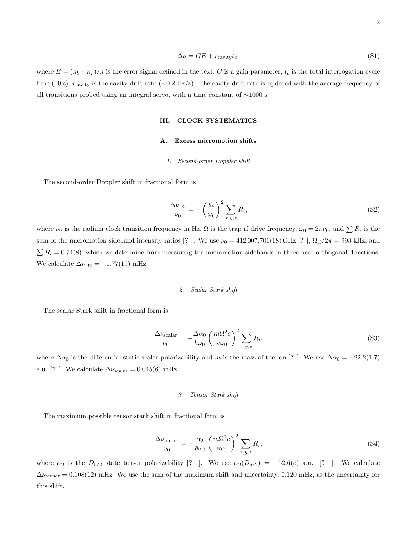$$
\Delta \nu = GE + r_{\text{cavity}} t_c,\tag{S1}
$$

where  $E = (n_b - n_r)/n$  is the error signal defined in the text, G is a gain parameter,  $t_c$  is the total interrogation cycle time (10 s),  $r_{\text{cavity}}$  is the cavity drift rate (∼0.2 Hz/s). The cavity drift rate is updated with the average frequency of all transitions probed using an integral servo, with a time constant of ∼1000 s.

### III. CLOCK SYSTEMATICS

## A. Excess micromotion shifts

### 1. Second-order Doppler shift

The second-order Doppler shift in fractional form is

$$
\frac{\Delta \nu_{\rm D2}}{\nu_0} = -\left(\frac{\Omega}{\omega_0}\right)^2 \sum_{x,y,z} R_i,\tag{S2}
$$

where  $\nu_0$  is the radium clock transition frequency in Hz,  $\Omega$  is the trap rf drive frequency,  $\omega_0 = 2\pi\nu_0$ , and  $\sum R_i$  is the sum of the micromotion sideband intensity ratios [? ]. We use  $\nu_0 = 412007.701(18) \text{ GHz}$  [? ],  $\Omega_{\text{rf}}/2\pi = 993 \text{ kHz}$ , and  $\sum R_i = 0.74(8)$ , which we determine from measuring the micromotion sidebands in three near-orthogonal directions. We calculate  $\Delta \nu_{\text{D2}} = -1.77(19)$  mHz.

## 2. Scalar Stark shift

The scalar Stark shift in fractional form is

$$
\frac{\Delta \nu_{\text{scalar}}}{\nu_0} = -\frac{\Delta \alpha_0}{\hbar \omega_0} \left(\frac{m\Omega^2 c}{e\omega_0}\right)^2 \sum_{x,y,z} R_i,\tag{S3}
$$

where  $\Delta\alpha_0$  is the differential static scalar polarizability and m is the mass of the ion [? ]. We use  $\Delta\alpha_0 = -22.2(1.7)$ a.u. [?]. We calculate  $\Delta \nu_{\text{scalar}} = 0.045(6) \text{ mHz}.$ 

## 3. Tensor Stark shift

The maximum possible tensor stark shift in fractional form is

$$
\frac{\Delta \nu_{\text{tensor}}}{\nu_0} = -\frac{\alpha_2}{\hbar \omega_0} \left(\frac{m\Omega^2 c}{e\omega_0}\right)^2 \sum_{x,y,z} R_i,\tag{S4}
$$

where  $\alpha_2$  is the  $D_{5/2}$  state tensor polarizability [? ]. We use  $\alpha_2(D_{5/2}) = -52.6(5)$  a.u. [? ]. We calculate  $\Delta \nu_{\text{tensor}} = 0.108(12)$  mHz. We use the sum of the maximum shift and uncertainty, 0.120 mHz, as the uncertainty for this shift.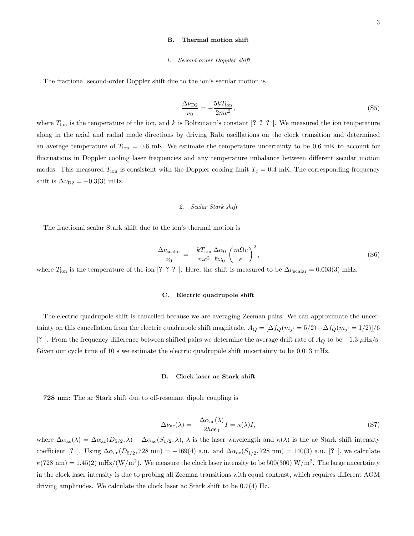#### B. Thermal motion shift

#### 1. Second-order Doppler shift

The fractional second-order Doppler shift due to the ion's secular motion is

$$
\frac{\Delta \nu_{\rm D2}}{\nu_0} = -\frac{5kT_{\rm ion}}{2mc^2},\tag{S5}
$$

where  $T_{\rm ion}$  is the temperature of the ion, and k is Boltzmann's constant [? ? ? ]. We measured the ion temperature along in the axial and radial mode directions by driving Rabi oscillations on the clock transition and determined an average temperature of  $T_{\rm ion} = 0.6$  mK. We estimate the temperature uncertainty to be 0.6 mK to account for fluctuations in Doppler cooling laser frequencies and any temperature imbalance between different secular motion modes. This measured  $T_{\text{ion}}$  is consistent with the Doppler cooling limit  $T_c = 0.4$  mK. The corresponding frequency shift is  $\Delta \nu_{\text{D2}} = -0.3(3)$  mHz.

### 2. Scalar Stark shift

The fractional scalar Stark shift due to the ion's thermal motion is

$$
\frac{\Delta \nu_{\text{scalar}}}{\nu_0} = -\frac{kT_{\text{ion}}}{mc^2} \frac{\Delta \alpha_0}{\hbar \omega_0} \left(\frac{m\Omega c}{e}\right)^2,\tag{S6}
$$

where  $T_{\text{ion}}$  is the temperature of the ion [??? ?]. Here, the shift is measured to be  $\Delta \nu_{\text{scalar}} = 0.003(3)$  mHz.

#### C. Electric quadrupole shift

The electric quadrupole shift is cancelled because we are averaging Zeeman pairs. We can approximate the uncertainty on this cancellation from the electric quadrupole shift magnitude,  $A_Q = [\Delta f_Q(m_{j'} = 5/2) - \Delta f_Q(m_{j'} = 1/2)]/6$ [? ]. From the frequency difference between shifted pairs we determine the average drift rate of  $A_Q$  to be −1.3  $\mu$ Hz/s. Given our cycle time of 10 s we estimate the electric quadrupole shift uncertainty to be 0.013 mHz.

#### D. Clock laser ac Stark shift

728 nm: The ac Stark shift due to off-resonant dipole coupling is

$$
\Delta\nu_{\rm ac}(\lambda) = -\frac{\Delta\alpha_{\rm ac}(\lambda)}{2hc\epsilon_0}I = \kappa(\lambda)I,\tag{S7}
$$

where  $\Delta\alpha_{\rm ac}(\lambda) = \Delta\alpha_{\rm ac}(D_{5/2}, \lambda) - \Delta\alpha_{\rm ac}(S_{1/2}, \lambda)$ ,  $\lambda$  is the laser wavelength and  $\kappa(\lambda)$  is the ac Stark shift intensity coefficient [? ]. Using  $\Delta\alpha_{ac}(D_{5/2}, 728 \text{ nm}) = -169(4)$  a.u. and  $\Delta\alpha_{ac}(S_{1/2}, 728 \text{ nm}) = 140(3)$  a.u. [? ], we calculate  $\kappa(728 \text{ nm}) = 1.45(2) \text{ mHz}/(\text{W/m}^2)$ . We measure the clock laser intensity to be 500(300) W/m<sup>2</sup>. The large uncertainty in the clock laser intensity is due to probing all Zeeman transitions with equal contrast, which requires different AOM driving amplitudes. We calculate the clock laser ac Stark shift to be 0.7(4) Hz.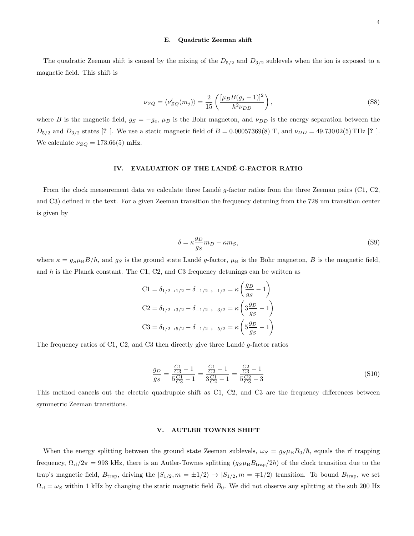#### E. Quadratic Zeeman shift

The quadratic Zeeman shift is caused by the mixing of the  $D_{5/2}$  and  $D_{3/2}$  sublevels when the ion is exposed to a magnetic field. This shift is

$$
\nu_{ZQ} = \langle \nu'_{ZQ}(m_j) \rangle = \frac{2}{15} \left( \frac{[\mu_B B(g_s - 1)]^2}{h^2 \nu_{DD}} \right),\tag{S8}
$$

where B is the magnetic field,  $g_S = -g_e$ ,  $\mu_B$  is the Bohr magneton, and  $\nu_{DD}$  is the energy separation between the  $D_{5/2}$  and  $D_{3/2}$  states [? ]. We use a static magnetic field of  $B = 0.00057369(8)$  T, and  $\nu_{DD} = 49.73002(5)$  THz [? ]. We calculate  $\nu_{ZQ} = 173.66(5)$  mHz.

# IV. EVALUATION OF THE LANDÉ G-FACTOR RATIO

From the clock measurement data we calculate three Landé  $g$ -factor ratios from the three Zeeman pairs (C1, C2, and C3) defined in the text. For a given Zeeman transition the frequency detuning from the 728 nm transition center is given by

$$
\delta = \kappa \frac{g_D}{g_S} m_D - \kappa m_S,\tag{S9}
$$

where  $\kappa = g_S\mu_B B/h$ , and  $g_S$  is the ground state Landé g-factor,  $\mu_B$  is the Bohr magneton, B is the magnetic field, and  $h$  is the Planck constant. The C1, C2, and C3 frequency detunings can be written as

$$
C1 = \delta_{1/2 \to 1/2} - \delta_{-1/2 \to -1/2} = \kappa \left( \frac{g_D}{g_S} - 1 \right)
$$
  
\n
$$
C2 = \delta_{1/2 \to 3/2} - \delta_{-1/2 \to -3/2} = \kappa \left( 3 \frac{g_D}{g_S} - 1 \right)
$$
  
\n
$$
C3 = \delta_{1/2 \to 5/2} - \delta_{-1/2 \to -5/2} = \kappa \left( 5 \frac{g_D}{g_S} - 1 \right)
$$

The frequency ratios of C1, C2, and C3 then directly give three Landé  $g$ -factor ratios

$$
\frac{g_D}{g_S} = \frac{\frac{C1}{C3} - 1}{5\frac{C1}{C3} - 1} = \frac{\frac{C1}{C2} - 1}{3\frac{C1}{C2} - 1} = \frac{\frac{C2}{C3} - 1}{5\frac{C2}{C3} - 3}
$$
(S10)

This method cancels out the electric quadrupole shift as C1, C2, and C3 are the frequency differences between symmetric Zeeman transitions.

### V. AUTLER TOWNES SHIFT

When the energy splitting between the ground state Zeeman sublevels,  $\omega_S = g_S \mu_B B_0 / \hbar$ , equals the rf trapping frequency,  $\Omega_{\rm rf}/2\pi = 993$  kHz, there is an Autler-Townes splitting  $(g_S\mu_B B_{\rm trap}/2\hbar)$  of the clock transition due to the trap's magnetic field,  $B_{trap}$ , driving the  $|S_{1/2}, m = \pm 1/2\rangle \rightarrow |S_{1/2}, m = \mp 1/2\rangle$  transition. To bound  $B_{trap}$ , we set  $\Omega_{\rm rf} = \omega_S$  within 1 kHz by changing the static magnetic field  $B_0$ . We did not observe any splitting at the sub 200 Hz